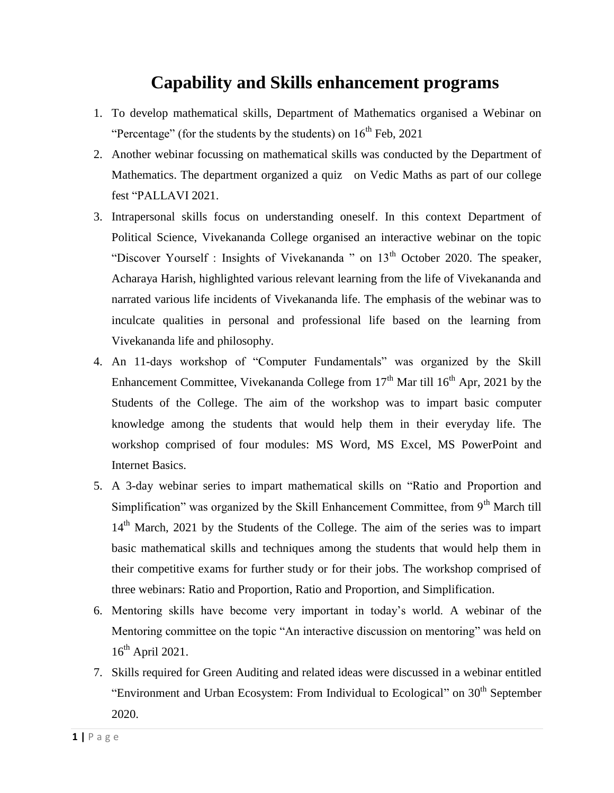## **Capability and Skills enhancement programs**

- 1. To develop mathematical skills, Department of Mathematics organised a Webinar on "Percentage" (for the students by the students) on  $16<sup>th</sup>$  Feb, 2021
- 2. Another webinar focussing on mathematical skills was conducted by the Department of Mathematics. The department organized a quiz on Vedic Maths as part of our college fest "PALLAVI 2021.
- 3. Intrapersonal skills focus on understanding oneself. In this context Department of Political Science, Vivekananda College organised an interactive webinar on the topic "Discover Yourself : Insights of Vivekananda " on 13<sup>th</sup> October 2020. The speaker, Acharaya Harish, highlighted various relevant learning from the life of Vivekananda and narrated various life incidents of Vivekananda life. The emphasis of the webinar was to inculcate qualities in personal and professional life based on the learning from Vivekananda life and philosophy.
- 4. An 11-days workshop of "Computer Fundamentals" was organized by the Skill Enhancement Committee, Vivekananda College from  $17<sup>th</sup>$  Mar till  $16<sup>th</sup>$  Apr, 2021 by the Students of the College. The aim of the workshop was to impart basic computer knowledge among the students that would help them in their everyday life. The workshop comprised of four modules: MS Word, MS Excel, MS PowerPoint and Internet Basics.
- 5. A 3-day webinar series to impart mathematical skills on "Ratio and Proportion and Simplification" was organized by the Skill Enhancement Committee, from  $9<sup>th</sup>$  March till 14<sup>th</sup> March, 2021 by the Students of the College. The aim of the series was to impart basic mathematical skills and techniques among the students that would help them in their competitive exams for further study or for their jobs. The workshop comprised of three webinars: Ratio and Proportion, Ratio and Proportion, and Simplification.
- 6. Mentoring skills have become very important in today's world. A webinar of the Mentoring committee on the topic "An interactive discussion on mentoring" was held on 16th April 2021.
- 7. Skills required for Green Auditing and related ideas were discussed in a webinar entitled "Environment and Urban Ecosystem: From Individual to Ecological" on 30<sup>th</sup> September 2020.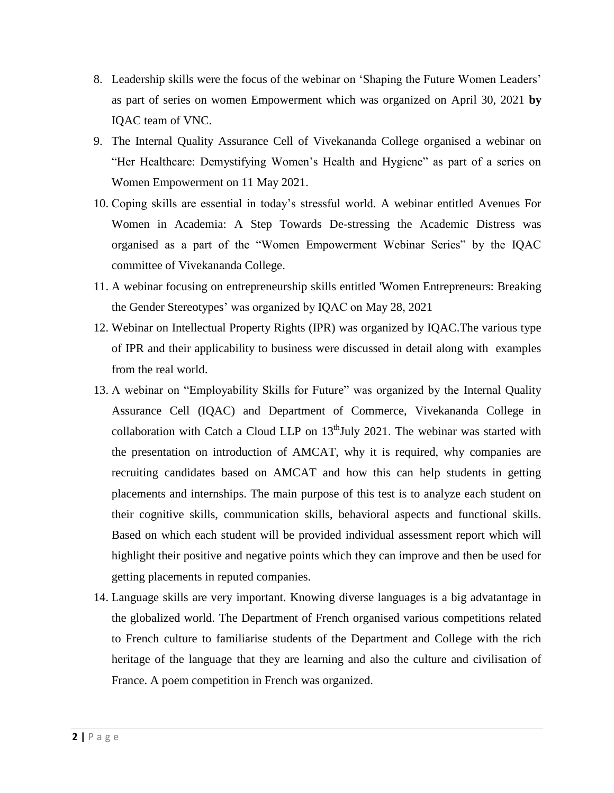- 8. Leadership skills were the focus of the webinar on 'Shaping the Future Women Leaders' as part of series on women Empowerment which was organized on April 30, 2021 **by**  IQAC team of VNC.
- 9. The Internal Quality Assurance Cell of Vivekananda College organised a webinar on "Her Healthcare: Demystifying Women's Health and Hygiene" as part of a series on Women Empowerment on 11 May 2021.
- 10. Coping skills are essential in today's stressful world. A webinar entitled Avenues For Women in Academia: A Step Towards De-stressing the Academic Distress was organised as a part of the "Women Empowerment Webinar Series" by the IQAC committee of Vivekananda College.
- 11. A webinar focusing on entrepreneurship skills entitled 'Women Entrepreneurs: Breaking the Gender Stereotypes' was organized by IQAC on May 28, 2021
- 12. Webinar on Intellectual Property Rights (IPR) was organized by IQAC.The various type of IPR and their applicability to business were discussed in detail along with examples from the real world.
- 13. A webinar on "Employability Skills for Future" was organized by the Internal Quality Assurance Cell (IQAC) and Department of Commerce, Vivekananda College in collaboration with Catch a Cloud LLP on  $13<sup>th</sup>$ July 2021. The webinar was started with the presentation on introduction of AMCAT, why it is required, why companies are recruiting candidates based on AMCAT and how this can help students in getting placements and internships. The main purpose of this test is to analyze each student on their cognitive skills, communication skills, behavioral aspects and functional skills. Based on which each student will be provided individual assessment report which will highlight their positive and negative points which they can improve and then be used for getting placements in reputed companies.
- 14. Language skills are very important. Knowing diverse languages is a big advatantage in the globalized world. The Department of French organised various competitions related to French culture to familiarise students of the Department and College with the rich heritage of the language that they are learning and also the culture and civilisation of France. A poem competition in French was organized.